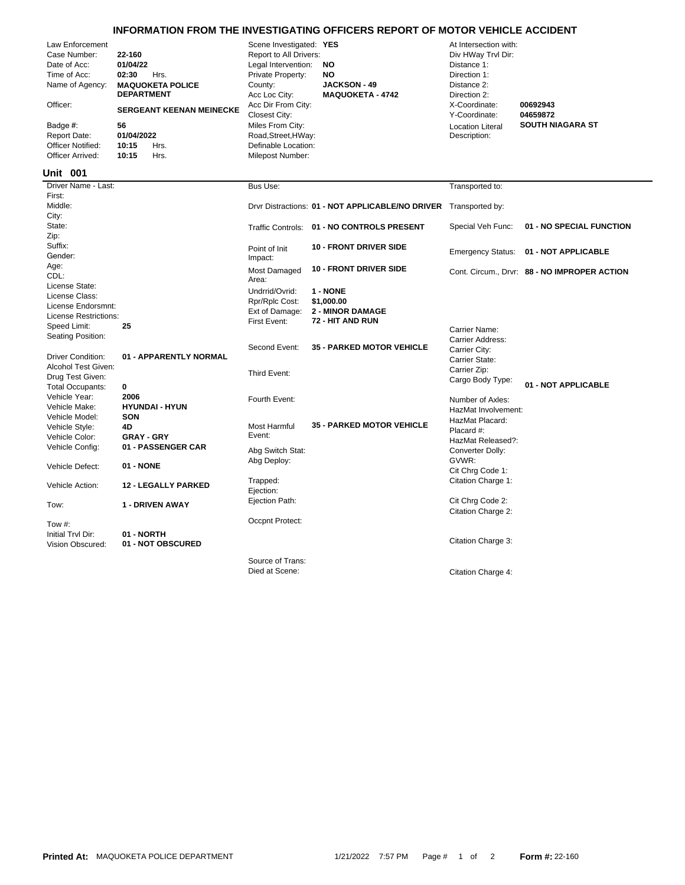## **INFORMATION FROM THE INVESTIGATING OFFICERS REPORT OF MOTOR VEHICLE ACCIDENT**

| Law Enforcement<br>Case Number:<br>Date of Acc:<br>Time of Acc:<br>Name of Agency:<br>Officer:<br>Badge #:<br><b>Report Date:</b><br><b>Officer Notified:</b> | 22-160<br>01/04/22<br>02:30<br>Hrs.<br><b>MAQUOKETA POLICE</b><br><b>DEPARTMENT</b><br><b>SERGEANT KEENAN MEINECKE</b><br>56<br>01/04/2022<br>10:15<br>Hrs. | Scene Investigated: YES<br>Report to All Drivers:<br>Legal Intervention:<br>Private Property:<br>County:<br>Acc Loc City:<br>Acc Dir From City:<br>Closest City:<br>Miles From City:<br>Road, Street, HWay:<br>Definable Location: | NO.<br><b>NO</b><br><b>JACKSON - 49</b><br><b>MAQUOKETA - 4742</b>    | At Intersection with:<br>Div HWay Trvl Dir:<br>Distance 1:<br>Direction 1:<br>Distance 2:<br>Direction 2:<br>X-Coordinate:<br>Y-Coordinate:<br><b>Location Literal</b><br>Description: | 00692943<br>04659872<br><b>SOUTH NIAGARA ST</b> |
|---------------------------------------------------------------------------------------------------------------------------------------------------------------|-------------------------------------------------------------------------------------------------------------------------------------------------------------|------------------------------------------------------------------------------------------------------------------------------------------------------------------------------------------------------------------------------------|-----------------------------------------------------------------------|----------------------------------------------------------------------------------------------------------------------------------------------------------------------------------------|-------------------------------------------------|
| Officer Arrived:<br><b>Unit 001</b>                                                                                                                           | Hrs.<br>10:15                                                                                                                                               | Milepost Number:                                                                                                                                                                                                                   |                                                                       |                                                                                                                                                                                        |                                                 |
| Driver Name - Last:                                                                                                                                           |                                                                                                                                                             | Bus Use:                                                                                                                                                                                                                           |                                                                       | Transported to:                                                                                                                                                                        |                                                 |
| First:<br>Middle:<br>City:                                                                                                                                    |                                                                                                                                                             |                                                                                                                                                                                                                                    | Drvr Distractions: 01 - NOT APPLICABLE/NO DRIVER Transported by:      |                                                                                                                                                                                        |                                                 |
| State:<br>Zip:                                                                                                                                                |                                                                                                                                                             |                                                                                                                                                                                                                                    | Traffic Controls: 01 - NO CONTROLS PRESENT                            | Special Veh Func:                                                                                                                                                                      | 01 - NO SPECIAL FUNCTION                        |
| Suffix:<br>Gender:                                                                                                                                            |                                                                                                                                                             | Point of Init<br>Impact:                                                                                                                                                                                                           | <b>10 - FRONT DRIVER SIDE</b>                                         |                                                                                                                                                                                        | Emergency Status: 01 - NOT APPLICABLE           |
| Age:<br>CDL:<br>License State:                                                                                                                                |                                                                                                                                                             | Most Damaged<br>Area:                                                                                                                                                                                                              | <b>10 - FRONT DRIVER SIDE</b>                                         |                                                                                                                                                                                        | Cont. Circum., Drvr: 88 - NO IMPROPER ACTION    |
| License Class:<br>License Endorsmnt:<br>License Restrictions:<br>Speed Limit:                                                                                 | 25                                                                                                                                                          | Undrrid/Ovrid:<br>Rpr/Rplc Cost:<br>Ext of Damage:<br>First Event:                                                                                                                                                                 | 1 - NONE<br>\$1,000.00<br><b>2 - MINOR DAMAGE</b><br>72 - HIT AND RUN |                                                                                                                                                                                        |                                                 |
| Seating Position:                                                                                                                                             |                                                                                                                                                             | Second Event:                                                                                                                                                                                                                      | <b>35 - PARKED MOTOR VEHICLE</b>                                      | Carrier Name:<br>Carrier Address:<br>Carrier City:                                                                                                                                     |                                                 |
| <b>Driver Condition:</b><br>Alcohol Test Given:<br>Drug Test Given:<br><b>Total Occupants:</b>                                                                | 01 - APPARENTLY NORMAL<br>0                                                                                                                                 | Third Event:                                                                                                                                                                                                                       |                                                                       | Carrier State:<br>Carrier Zip:<br>Cargo Body Type:                                                                                                                                     | 01 - NOT APPLICABLE                             |
| Vehicle Year:<br>Vehicle Make:<br>Vehicle Model:                                                                                                              | 2006<br><b>HYUNDAI - HYUN</b><br>SON                                                                                                                        | Fourth Event:                                                                                                                                                                                                                      |                                                                       | Number of Axles:<br>HazMat Involvement:                                                                                                                                                |                                                 |
| Vehicle Style:<br>Vehicle Color:                                                                                                                              | 4D<br><b>GRAY - GRY</b>                                                                                                                                     | Most Harmful<br>Event:                                                                                                                                                                                                             | <b>35 - PARKED MOTOR VEHICLE</b>                                      | HazMat Placard:<br>Placard #:<br>HazMat Released?:                                                                                                                                     |                                                 |
| Vehicle Config:<br>Vehicle Defect:                                                                                                                            | 01 - PASSENGER CAR<br>01 - NONE                                                                                                                             | Abg Switch Stat:<br>Abg Deploy:                                                                                                                                                                                                    |                                                                       | Converter Dolly:<br>GVWR:<br>Cit Chrg Code 1:                                                                                                                                          |                                                 |
| Vehicle Action:                                                                                                                                               | <b>12 - LEGALLY PARKED</b>                                                                                                                                  | Trapped:<br>Ejection:                                                                                                                                                                                                              |                                                                       | Citation Charge 1:                                                                                                                                                                     |                                                 |
| Tow:                                                                                                                                                          | <b>1 - DRIVEN AWAY</b>                                                                                                                                      | Ejection Path:                                                                                                                                                                                                                     |                                                                       | Cit Chrg Code 2:<br>Citation Charge 2:                                                                                                                                                 |                                                 |
| Tow $#$ :                                                                                                                                                     |                                                                                                                                                             | Occpnt Protect:                                                                                                                                                                                                                    |                                                                       |                                                                                                                                                                                        |                                                 |
| Initial Tryl Dir:<br>Vision Obscured:                                                                                                                         | 01 - NORTH<br>01 - NOT OBSCURED                                                                                                                             |                                                                                                                                                                                                                                    |                                                                       | Citation Charge 3:                                                                                                                                                                     |                                                 |
|                                                                                                                                                               |                                                                                                                                                             | Source of Trans:<br>Died at Scene:                                                                                                                                                                                                 |                                                                       | Citation Charge 4:                                                                                                                                                                     |                                                 |

Citation Charge 4: